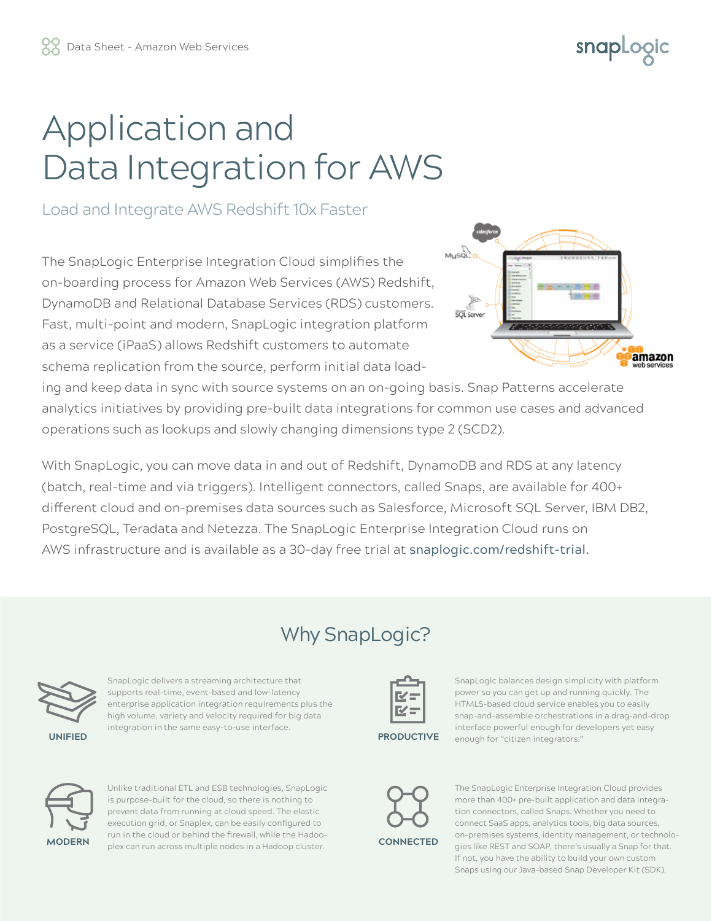# snapLogic

# Application and Data Integration for AWS

### Load and Integrate AWS Redshift 10x Faster

The SnapLogic Enterprise Integration Cloud simplifies the on-boarding process for Amazon Web Services (AWS) Redshift, DynamoDB and Relational Database Services (RDS) customers. Fast, multi-point and modern, SnapLogic integration platform as a service (iPaaS) allows Redshift customers to automate schema replication from the source, perform initial data load-



ing and keep data in sync with source systems on an on-going basis. Snap Patterns accelerate analytics initiatives by providing pre-built data integrations for common use cases and advanced operations such as lookups and slowly changing dimensions type 2 (SCD2).

With SnapLogic, you can move data in and out of Redshift, DynamoDB and RDS at any latency (batch, real-time and via triggers). Intelligent connectors, called Snaps, are available for 400+ different cloud and on-premises data sources such as Salesforce, Microsoft SQL Server, IBM DB2, PostgreSQL, Teradata and Netezza. The SnapLogic Enterprise Integration Cloud runs on AWS infrastructure and is available as a 30-day free trial at snaplogic.com/redshift-trial.

## Why SnapLogic?



SnapLogic delivers a streaming architecture that supports real-time, event-based and low-latency enterprise application integration requirements plus the high volume, variety and velocity required for big data integration in the same easy-to-use interface.



**PRODUCTIVE**

SnapLogic balances design simplicity with platform power so you can get up and running quickly. The HTML5-based cloud service enables you to easily snap-and-assemble orchestrations in a drag-and-drop interface powerful enough for developers yet easy enough for "citizen integrators."



Unlike traditional ETL and ESB technologies, SnapLogic is purpose-built for the cloud, so there is nothing to prevent data from running at cloud speed. The elastic execution grid, or Snaplex, can be easily configured to run in the cloud or behind the firewall, while the Hadooplex can run across multiple nodes in a Hadoop cluster.



**CONNECTED**

The SnapLogic Enterprise Integration Cloud provides more than 400+ pre-built application and data integration connectors, called Snaps. Whether you need to connect SaaS apps, analytics tools, big data sources, on-premises systems, identity management, or technologies like REST and SOAP, there's usually a Snap for that. If not, you have the ability to build your own custom Snaps using our Java-based Snap Developer Kit (SDK).